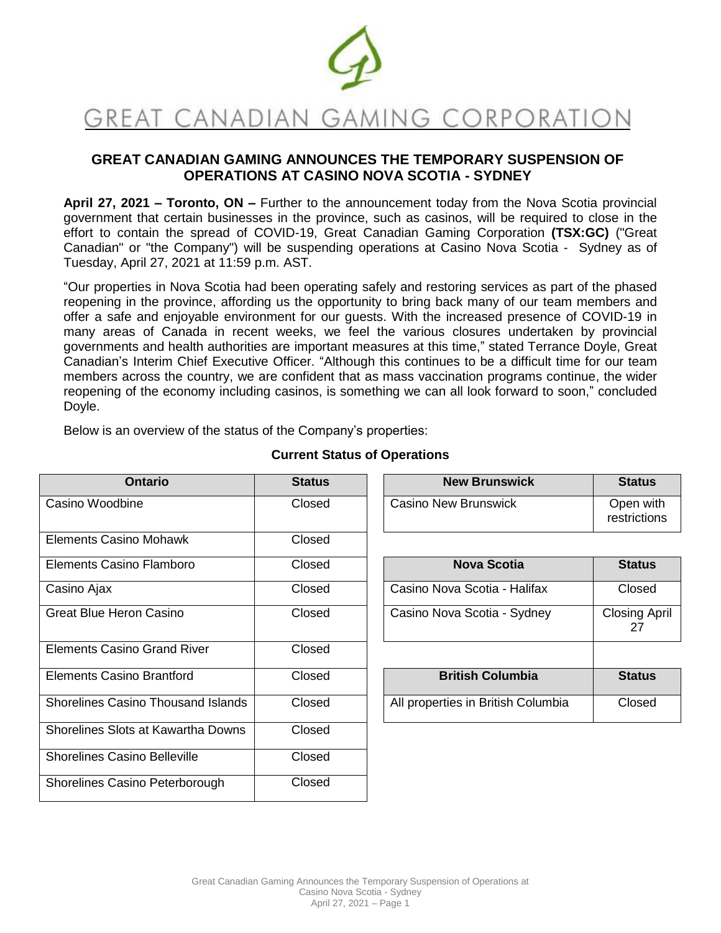

# **GREAT CANADIAN GAMING ANNOUNCES THE TEMPORARY SUSPENSION OF OPERATIONS AT CASINO NOVA SCOTIA - SYDNEY**

**April 27, 2021 – Toronto, ON –** Further to the announcement today from the Nova Scotia provincial government that certain businesses in the province, such as casinos, will be required to close in the effort to contain the spread of COVID-19, Great Canadian Gaming Corporation **(TSX:GC)** ("Great Canadian" or "the Company") will be suspending operations at Casino Nova Scotia - Sydney as of Tuesday, April 27, 2021 at 11:59 p.m. AST.

"Our properties in Nova Scotia had been operating safely and restoring services as part of the phased reopening in the province, affording us the opportunity to bring back many of our team members and offer a safe and enjoyable environment for our guests. With the increased presence of COVID-19 in many areas of Canada in recent weeks, we feel the various closures undertaken by provincial governments and health authorities are important measures at this time," stated Terrance Doyle, Great Canadian's Interim Chief Executive Officer. "Although this continues to be a difficult time for our team members across the country, we are confident that as mass vaccination programs continue, the wider reopening of the economy including casinos, is something we can all look forward to soon," concluded Doyle.

Below is an overview of the status of the Company's properties:

| <b>Ontario</b>                            | <b>Status</b> | <b>New Brunswick</b>               | <b>Status</b>              |
|-------------------------------------------|---------------|------------------------------------|----------------------------|
| Casino Woodbine                           | Closed        | Casino New Brunswick               | Open with<br>restrictions  |
| <b>Elements Casino Mohawk</b>             | Closed        |                                    |                            |
| Elements Casino Flamboro                  | Closed        | <b>Nova Scotia</b>                 | <b>Status</b>              |
| Casino Ajax                               | Closed        | Casino Nova Scotia - Halifax       | Closed                     |
| <b>Great Blue Heron Casino</b>            | Closed        | Casino Nova Scotia - Sydney        | <b>Closing April</b><br>27 |
| <b>Elements Casino Grand River</b>        | Closed        |                                    |                            |
| <b>Elements Casino Brantford</b>          | Closed        | <b>British Columbia</b>            | <b>Status</b>              |
| <b>Shorelines Casino Thousand Islands</b> | Closed        | All properties in British Columbia | Closed                     |
| Shorelines Slots at Kawartha Downs        | Closed        |                                    |                            |
| <b>Shorelines Casino Belleville</b>       | Closed        |                                    |                            |
| Shorelines Casino Peterborough            | Closed        |                                    |                            |

## **Current Status of Operations**